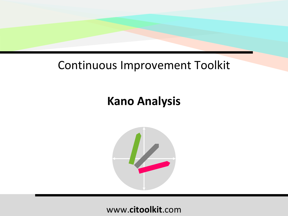## Continuous Improvement Toolkit

# **Kano Analysis**

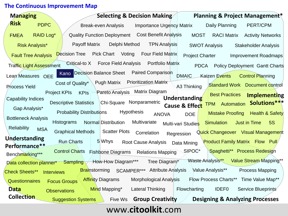#### **The Continuous Improvement Map**

| <b>Managing</b>                   | <b>Selecting &amp; Decision Making</b><br><b>Planning &amp; Project Management*</b>                                                     |
|-----------------------------------|-----------------------------------------------------------------------------------------------------------------------------------------|
| <b>Risk</b><br><b>PDPC</b>        |                                                                                                                                         |
|                                   | PERT/CPM<br><b>Break-even Analysis</b><br><b>Importance Urgency Matrix</b><br>Daily Planning                                            |
| <b>RAID Log*</b><br><b>FMEA</b>   | Quality Function Deployment Cost Benefit Analysis<br><b>MOST</b><br><b>RACI Matrix</b><br><b>Activity Networks</b>                      |
| <b>Risk Analysis*</b>             | <b>Payoff Matrix</b><br>Delphi Method<br><b>TPN Analysis</b><br><b>SWOT Analysis</b><br><b>Stakeholder Analysis</b>                     |
| <b>Fault Tree Analysis</b>        | Pick Chart Voting<br><b>Four Field Matrix</b><br><b>Decision Tree</b><br><b>Project Charter</b><br><b>Improvement Roadmaps</b>          |
| <b>Traffic Light Assessment</b>   | <b>Force Field Analysis</b><br><b>Portfolio Matrix</b><br>Critical-to X<br><b>PDCA</b><br><b>Policy Deployment Gantt Charts</b>         |
| Lean Measures OEE                 | Kano Decision Balance Sheet Paired Comparison<br><b>DMAIC</b><br>Kaizen Events<br><b>Control Planning</b>                               |
| Process Yield                     | <b>Pugh Matrix Prioritization Matrix</b><br>Cost of Quality*<br><b>Standard Work Document control</b><br>A3 Thinking                    |
|                                   | Pareto Analysis Matrix Diagram<br><b>Project KPIs</b><br><b>KPIs</b><br><b>Best Practices</b><br>Implementing                           |
| <b>Capability Indices</b>         | Understanding<br>Chi-Square Nonparametric<br>TPM Automation Solutions***<br><b>Descriptive Statistics</b>                               |
| Gap Analysis*                     | Cause & Effect<br>Hypothesis<br><b>Probability Distributions</b><br><b>Mistake Proofing</b><br><b>Health &amp; Safety</b>               |
| <b>Bottleneck Analysis</b>        | <b>ANOVA</b><br><b>DOE</b>                                                                                                              |
| <b>Reliability</b><br><b>MSA</b>  | Multivariate<br><b>Histograms</b><br>Normal Distribution<br><b>Just in Time</b><br><b>5S</b><br><b>Simulation</b><br>Multi-vari Studies |
|                                   | Scatter Plots Correlation<br><b>Graphical Methods</b><br>Quick Changeover Visual Management<br>Regression                               |
| Understanding                     | 5 Whys<br><b>Run Charts</b><br><b>Product Family Matrix Flow Pull</b><br>Root Cause Analysis Data Mining                                |
| Performance**                     | Spaghetti** Process Redesign<br>SIPOC*<br><b>Control Charts</b><br><b>Fishbone Diagrams</b> Relations Mapping                           |
| Benchmarking***                   | Waste Analysis** Value Stream Mapping**                                                                                                 |
| Data collection planner* Sampling | How-How Diagram***<br>Tree Diagram <sup>*</sup>                                                                                         |
| <b>Check Sheets**</b>             | SCAMPER*** Attribute Analysis<br>Value Analysis**<br><b>Process Mapping</b><br><b>Brainstorming</b><br><b>Interviews</b>                |
| <b>Questionnaires</b>             | <b>Affinity Diagrams</b><br>Morphological Analysis<br>Flow Process Charts** Time Value Map**<br><b>Focus Groups</b>                     |
| <b>Data</b>                       | Lateral Thinking<br><b>IDEF0</b><br>Service Blueprints<br>Mind Mapping*<br>Flowcharting<br><b>Observations</b>                          |
| <b>Collection</b>                 | Group Creativity<br><b>Designing &amp; Analyzing Processes</b><br><b>Suggestion Systems</b><br>Five Ws                                  |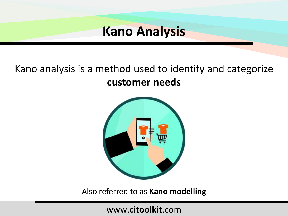## Kano analysis is a method used to identify and categorize **customer needs**



Also referred to as **Kano modelling**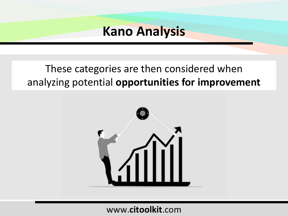### These categories are then considered when analyzing potential **opportunities for improvement**

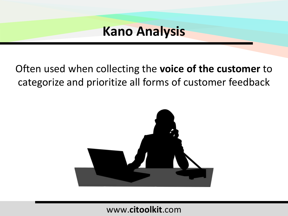Often used when collecting the **voice of the customer** to categorize and prioritize all forms of customer feedback

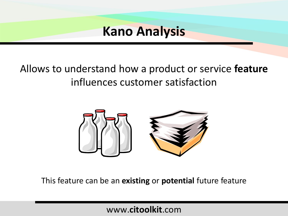## Allows to understand how a product or service **feature** influences customer satisfaction



This feature can be an **existing** or **potential** future feature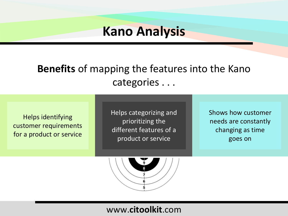### **Benefits** of mapping the features into the Kano categories . . .

Helps identifying customer requirements for a product or service

Helps categorizing and prioritizing the different features of a product or service

Shows how customer needs are constantly changing as time goes on

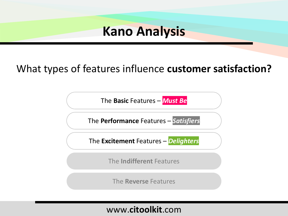### What types of features influence **customer satisfaction?**

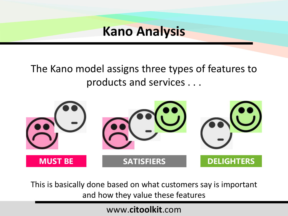## The Kano model assigns three types of features to products and services . . .



This is basically done based on what customers say is important and how they value these features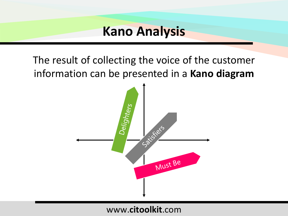The result of collecting the voice of the customer information can be presented in a **Kano diagram**

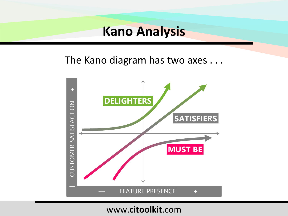The Kano diagram has two axes . . .

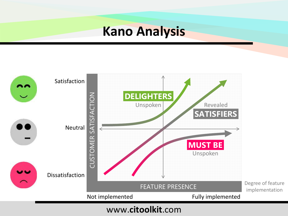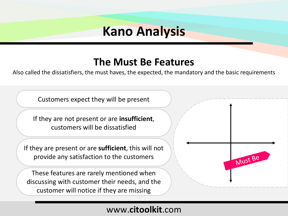### **The Must Be Features**

Also called the dissatisfiers, the must haves, the expected, the mandatory and the basic requirements

Customers expect they will be present

If they are not present or are **insufficient**, customers will be dissatisfied

If they are present or are **sufficient**, this will not provide any satisfaction to the customers

These features are rarely mentioned when discussing with customer their needs, and the customer will notice if they are missing

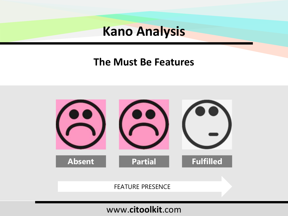### **The Must Be Features**

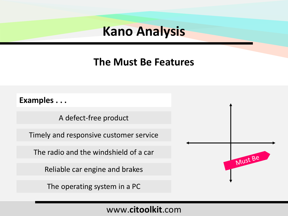### **The Must Be Features**

#### **Examples . . .**

A defect-free product

Timely and responsive customer service

The radio and the windshield of a car

Reliable car engine and brakes

The operating system in a PC

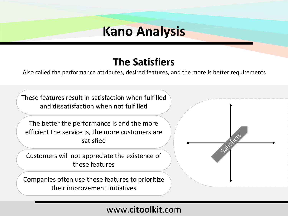### **The Satisfiers**

Also called the performance attributes, desired features, and the more is better requirements

These features result in satisfaction when fulfilled and dissatisfaction when not fulfilled

The better the performance is and the more efficient the service is, the more customers are satisfied

Customers will not appreciate the existence of these features

Companies often use these features to prioritize their improvement initiatives

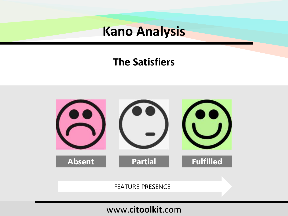### **The Satisfiers**

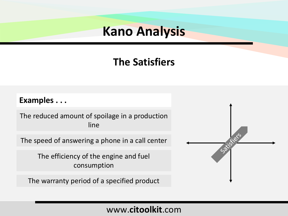### **The Satisfiers**

#### **Examples . . .**

The reduced amount of spoilage in a production line

The speed of answering a phone in a call center

The efficiency of the engine and fuel consumption

The warranty period of a specified product

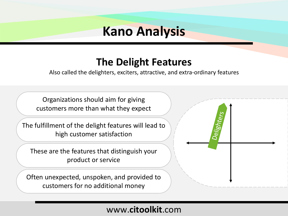### **The Delight Features**

Also called the delighters, exciters, attractive, and extra-ordinary features

Organizations should aim for giving customers more than what they expect

The fulfillment of the delight features will lead to high customer satisfaction

These are the features that distinguish your product or service

Often unexpected, unspoken, and provided to customers for no additional money

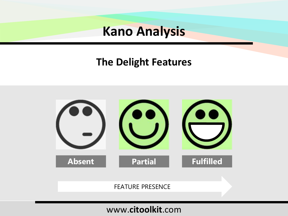### **The Delight Features**

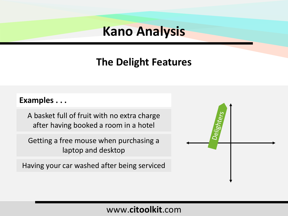### **The Delight Features**

#### **Examples . . .**

A basket full of fruit with no extra charge after having booked a room in a hotel

Getting a free mouse when purchasing a laptop and desktop

Having your car washed after being serviced

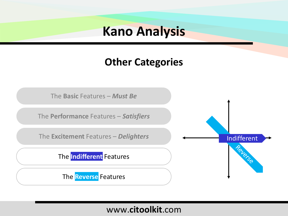### **Other Categories**

The **Basic** Features – *Must Be*

The **Performance** Features – *Satisfiers*

The **Excitement** Features – *Delighters*

The **Indifferent** Features

The **Reverse** Features

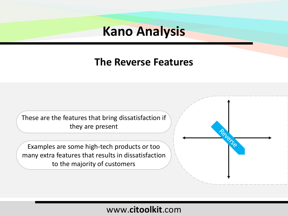### **The Reverse Features**

These are the features that bring dissatisfaction if they are present

Examples are some high-tech products or too many extra features that results in dissatisfaction to the majority of customers

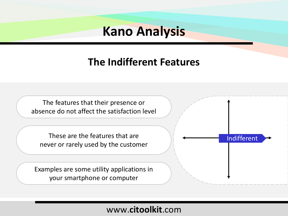### **The Indifferent Features**

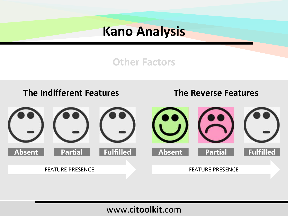### **Other Factors**

#### **The Indifferent Features**

#### **The Reverse Features**

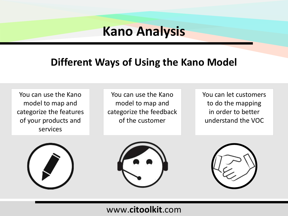### **Different Ways of Using the Kano Model**

You can use the Kano model to map and categorize the features of your products and services

You can use the Kano model to map and categorize the feedback of the customer

You can let customers to do the mapping in order to better understand the VOC





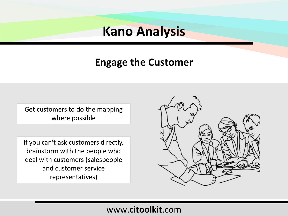### **Engage the Customer**

Get customers to do the mapping where possible

If you can't ask customers directly, brainstorm with the people who deal with customers (salespeople and customer service representatives)

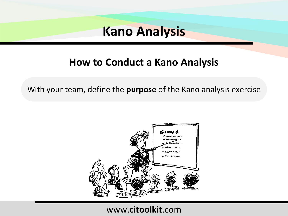### **How to Conduct a Kano Analysis**

With your team, define the **purpose** of the Kano analysis exercise

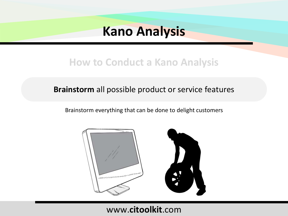### **How to Conduct a Kano Analysis**

#### **Brainstorm** all possible product or service features

Brainstorm everything that can be done to delight customers

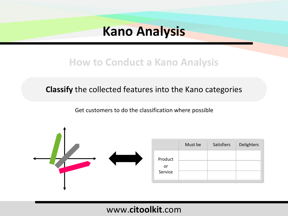### **How to Conduct a Kano Analysis**

**Classify** the collected features into the Kano categories

Get customers to do the classification where possible



|                          | Must be | Satisfiers | Delighters |
|--------------------------|---------|------------|------------|
| Product<br>or<br>Service |         |            |            |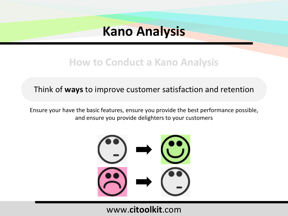### **How to Conduct a Kano Analysis**

#### Think of **ways** to improve customer satisfaction and retention

Ensure your have the basic features, ensure you provide the best performance possible, and ensure you provide delighters to your customers

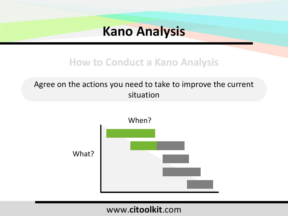### **How to Conduct a Kano Analysis**

#### Agree on the actions you need to take to improve the current situation

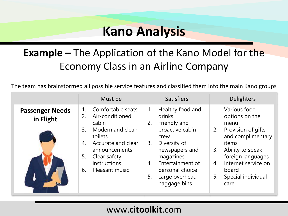## **Example –** The Application of the Kano Model for the Economy Class in an Airline Company

The team has brainstormed all possible service features and classified them into the main Kano groups

| Comfortable seats<br>Healthy food and<br>Various food<br>1.<br>$1_{\cdot}$<br>1.<br><b>Passenger Needs</b><br>drinks<br>Air-conditioned<br>options on the<br>2.<br>in Flight<br>Friendly and<br>cabin<br>2.<br>menu<br>Modern and clean<br>proactive cabin<br>3.<br>2.                                            | Must be | <b>Satisfiers</b> | <b>Delighters</b>                                                                                         |
|-------------------------------------------------------------------------------------------------------------------------------------------------------------------------------------------------------------------------------------------------------------------------------------------------------------------|---------|-------------------|-----------------------------------------------------------------------------------------------------------|
|                                                                                                                                                                                                                                                                                                                   |         |                   |                                                                                                           |
| Diversity of<br>Accurate and clear<br>items<br>4.<br>3.<br>newspapers and<br>Ability to speak<br>3.<br>announcements<br>Clear safety<br>5.<br>magazines<br>instructions<br>Entertainment of<br>4.<br>4.<br>Pleasant music<br>personal choice<br>6.<br>board<br>Large overhead<br>5.<br>5.<br>baggage bins<br>care | toilets | crew              | Provision of gifts<br>and complimentary<br>foreign languages<br>Internet service on<br>Special individual |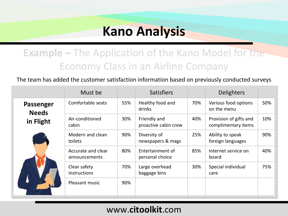### **Example –** The Application of the Kano Model for the Economy Class in an Airline Company

The team has added the customer satisfaction information based on previously conducted surveys

|                                        | Must be                             |     | <b>Satisfiers</b>                    |     | <b>Delighters</b>                             |     |
|----------------------------------------|-------------------------------------|-----|--------------------------------------|-----|-----------------------------------------------|-----|
| Passenger<br><b>Needs</b><br>in Flight | Comfortable seats                   | 55% | Healthy food and<br>drinks           | 70% | Various food options<br>on the menu           | 50% |
|                                        | Air-conditioned<br>cabin            | 30% | Friendly and<br>proactive cabin crew | 40% | Provision of gifts and<br>complimentary items | 10% |
|                                        | Modern and clean<br>toilets         | 90% | Diversity of<br>newspapers & mags    | 25% | Ability to speak<br>foreign languages         | 90% |
|                                        | Accurate and clear<br>announcements | 80% | Entertainment of<br>personal choice  | 85% | Internet service on<br>board                  | 40% |
|                                        | Clear safety<br>instructions        | 70% | Large overhead<br>baggage bins       | 30% | Special individual<br>care                    | 75% |
|                                        | Pleasant music                      | 90% |                                      |     |                                               |     |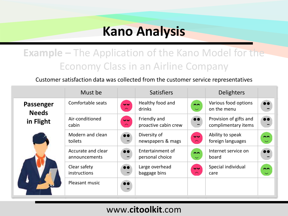## **Example –** The Application of the Kano Model for the Economy Class in an Airline Company

#### Customer satisfaction data was collected from the customer service representatives

|                           | Must be                             |                                             | <b>Satisfiers</b>                    |                                                    | <b>Delighters</b>                             |                                |
|---------------------------|-------------------------------------|---------------------------------------------|--------------------------------------|----------------------------------------------------|-----------------------------------------------|--------------------------------|
| Passenger<br><b>Needs</b> | Comfortable seats                   | $\overline{\mathbf{v}}$<br>$\sim$           | Healthy food and<br>drinks           | $\sim$<br>$\overline{\smile}$                      | Various food options<br>on the menu           | $\bullet\bullet$               |
| in Flight                 | Air-conditioned<br>cabin            | $\bullet\bullet$<br>$\widehat{\phantom{m}}$ | Friendly and<br>proactive cabin crew | $\bullet\bullet$                                   | Provision of gifts and<br>complimentary items | $\bullet\bullet$               |
|                           | Modern and clean<br>toilets         | $\bullet\bullet$                            | Diversity of<br>newspapers & mags    | $\overline{\mathbf{v}}$<br>$\widehat{\phantom{m}}$ | Ability to speak<br>foreign languages         | $\sim$<br>$\ddot{\phantom{0}}$ |
|                           | Accurate and clear<br>announcements | $\bullet\bullet$<br>$\qquad \qquad$         | Entertainment of<br>personal choice  | $\sim$<br>$\overline{\smile}$                      | Internet service on<br>board                  | $\bullet \bullet$              |
|                           | Clear safety<br>instructions        | $\bullet\bullet$<br>$\rightarrow$           | Large overhead<br>baggage bins       | $\overline{\mathbf{v}}$<br>$\widehat{\phantom{m}}$ | Special individual<br>care                    | $\sim$<br>$\overline{\smile}$  |
|                           | Pleasant music                      | $\bullet\bullet$<br>٠                       |                                      |                                                    |                                               |                                |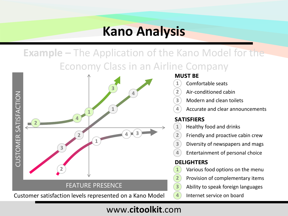**Example –** The Application of the Kano Model for the Economy Class in an Airline Company



#### **MUST BE**

- Comfortable seats
- Air-conditioned cabin
- Modern and clean toilets
	- Accurate and clear announcements

#### **SATISFIERS**

- Healthy food and drinks
- Friendly and proactive cabin crew
- Diversity of newspapers and mags
- Entertainment of personal choice

#### **DELIGHTERS**

- Various food options on the menu
- Provision of complementary items
- Ability to speak foreign languages
- Internet service on board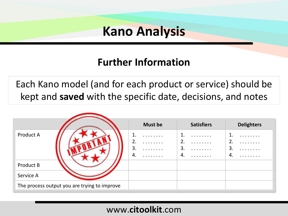### **Further Information**

Each Kano model (and for each product or service) should be kept and **saved** with the specific date, decisions, and notes

|                                              | <b>Must be</b>                     | <b>Satisfiers</b>                        | <b>Delighters</b>                       |
|----------------------------------------------|------------------------------------|------------------------------------------|-----------------------------------------|
| Product A                                    | .<br>2.<br>.<br>3.<br>.<br>4.<br>. | 1.<br>.<br>2.<br>.<br>3.<br>.<br>4.<br>. | .<br>3.<br>$\ldots \ldots \ldots$<br>4. |
| Product B                                    |                                    |                                          |                                         |
| Service A                                    |                                    |                                          |                                         |
| The process output you are trying to improve |                                    |                                          |                                         |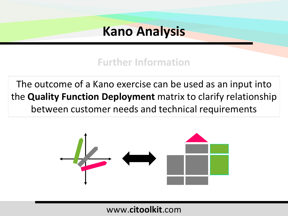### **Further Information**

The outcome of a Kano exercise can be used as an input into the **Quality Function Deployment** matrix to clarify relationship between customer needs and technical requirements

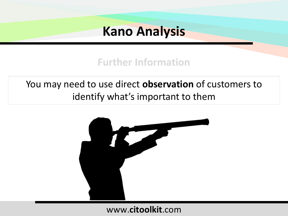### **Further Information**

You may need to use direct **observation** of customers to identify what's important to them

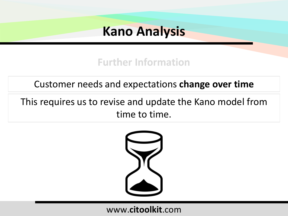### **Further Information**

### Customer needs and expectations **change over time**

### This requires us to revise and update the Kano model from time to time.

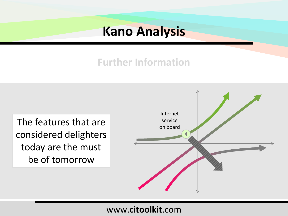### **Further Information**

The features that are considered delighters today are the must be of tomorrow